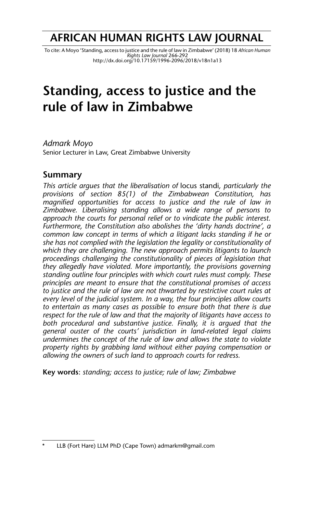# **AFRICAN HUMAN RIGHTS LAW JOURNAL**

To cite: A Moyo 'Standing, access to justice and the rule of law in Zimbabwe' (2018) 18 *African Human*<br>Rights Law Journal 266-292<br>http://dx.doi.org/10.17159/1996-2096/2018/v18n1a13

# **Standing, access to justice and the rule of law in Zimbabwe**

*Admark Moyo* Senior Lecturer in Law, Great Zimbabwe University

### **Summary**

*This article argues that the liberalisation of* locus standi*, particularly the provisions of section 85(1) of the Zimbabwean Constitution, has magnified opportunities for access to justice and the rule of law in Zimbabwe. Liberalising standing allows a wide range of persons to approach the courts for personal relief or to vindicate the public interest. Furthermore, the Constitution also abolishes the 'dirty hands doctrine', a common law concept in terms of which a litigant lacks standing if he or she has not complied with the legislation the legality or constitutionality of which they are challenging. The new approach permits litigants to launch proceedings challenging the constitutionality of pieces of legislation that they allegedly have violated. More importantly, the provisions governing standing outline four principles with which court rules must comply. These principles are meant to ensure that the constitutional promises of access to justice and the rule of law are not thwarted by restrictive court rules at every level of the judicial system. In a way, the four principles allow courts to entertain as many cases as possible to ensure both that there is due respect for the rule of law and that the majority of litigants have access to both procedural and substantive justice. Finally, it is argued that the general ouster of the courts' jurisdiction in land-related legal claims undermines the concept of the rule of law and allows the state to violate property rights by grabbing land without either paying compensation or allowing the owners of such land to approach courts for redress.*

**Key words**: *standing; access to justice; rule of law; Zimbabwe*

LLB (Fort Hare) LLM PhD (Cape Town) admarkm@gmail.com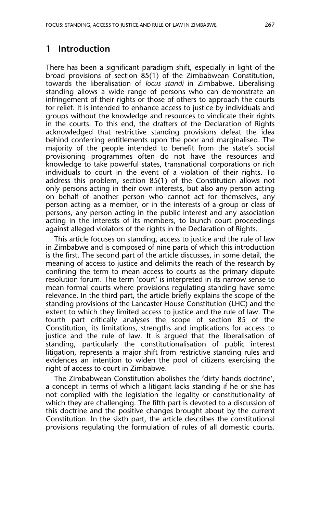## **1 Introduction**

There has been a significant paradigm shift, especially in light of the broad provisions of section 85(1) of the Zimbabwean Constitution, towards the liberalisation of *locus standi* in Zimbabwe. Liberalising standing allows a wide range of persons who can demonstrate an infringement of their rights or those of others to approach the courts for relief. It is intended to enhance access to justice by individuals and groups without the knowledge and resources to vindicate their rights in the courts. To this end, the drafters of the Declaration of Rights acknowledged that restrictive standing provisions defeat the idea behind conferring entitlements upon the poor and marginalised. The majority of the people intended to benefit from the state's social provisioning programmes often do not have the resources and knowledge to take powerful states, transnational corporations or rich individuals to court in the event of a violation of their rights. To address this problem, section 85(1) of the Constitution allows not only persons acting in their own interests, but also any person acting on behalf of another person who cannot act for themselves, any person acting as a member, or in the interests of a group or class of persons, any person acting in the public interest and any association acting in the interests of its members, to launch court proceedings against alleged violators of the rights in the Declaration of Rights.

This article focuses on standing, access to justice and the rule of law in Zimbabwe and is composed of nine parts of which this introduction is the first. The second part of the article discusses, in some detail, the meaning of access to justice and delimits the reach of the research by confining the term to mean access to courts as the primary dispute resolution forum. The term 'court' is interpreted in its narrow sense to mean formal courts where provisions regulating standing have some relevance. In the third part, the article briefly explains the scope of the standing provisions of the Lancaster House Constitution (LHC) and the extent to which they limited access to justice and the rule of law. The fourth part critically analyses the scope of section 85 of the Constitution, its limitations, strengths and implications for access to justice and the rule of law. It is argued that the liberalisation of standing, particularly the constitutionalisation of public interest litigation, represents a major shift from restrictive standing rules and evidences an intention to widen the pool of citizens exercising the right of access to court in Zimbabwe.

The Zimbabwean Constitution abolishes the 'dirty hands doctrine', a concept in terms of which a litigant lacks standing if he or she has not complied with the legislation the legality or constitutionality of which they are challenging. The fifth part is devoted to a discussion of this doctrine and the positive changes brought about by the current Constitution. In the sixth part, the article describes the constitutional provisions regulating the formulation of rules of all domestic courts.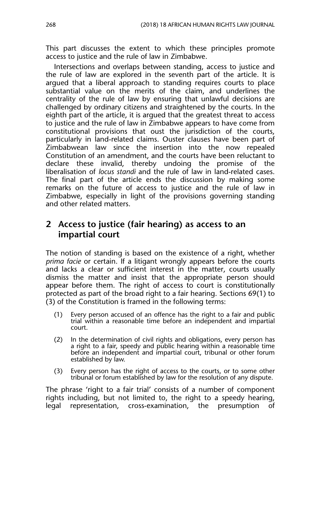This part discusses the extent to which these principles promote access to justice and the rule of law in Zimbabwe.

Intersections and overlaps between standing, access to justice and the rule of law are explored in the seventh part of the article. It is argued that a liberal approach to standing requires courts to place substantial value on the merits of the claim, and underlines the centrality of the rule of law by ensuring that unlawful decisions are challenged by ordinary citizens and straightened by the courts. In the eighth part of the article, it is argued that the greatest threat to access to justice and the rule of law in Zimbabwe appears to have come from constitutional provisions that oust the jurisdiction of the courts, particularly in land-related claims. Ouster clauses have been part of Zimbabwean law since the insertion into the now repealed Constitution of an amendment, and the courts have been reluctant to declare these invalid, thereby undoing the promise of the liberalisation of *locus standi* and the rule of law in land-related cases. The final part of the article ends the discussion by making some remarks on the future of access to justice and the rule of law in Zimbabwe, especially in light of the provisions governing standing and other related matters.

## **2 Access to justice (fair hearing) as access to an impartial court**

The notion of standing is based on the existence of a right, whether *prima facie* or certain. If a litigant wrongly appears before the courts and lacks a clear or sufficient interest in the matter, courts usually dismiss the matter and insist that the appropriate person should appear before them. The right of access to court is constitutionally protected as part of the broad right to a fair hearing. Sections 69(1) to (3) of the Constitution is framed in the following terms:

- (1) Every person accused of an offence has the right to a fair and public trial within a reasonable time before an independent and impartial court.
- (2) In the determination of civil rights and obligations, every person has a right to a fair, speedy and public hearing within a reasonable time before an independent and impartial court, tribunal or other forum established by law.
- (3) Every person has the right of access to the courts, or to some other tribunal or forum established by law for the resolution of any dispute.

The phrase 'right to a fair trial' consists of a number of component rights including, but not limited to, the right to a speedy hearing, legal representation, cross-examination, the presumption of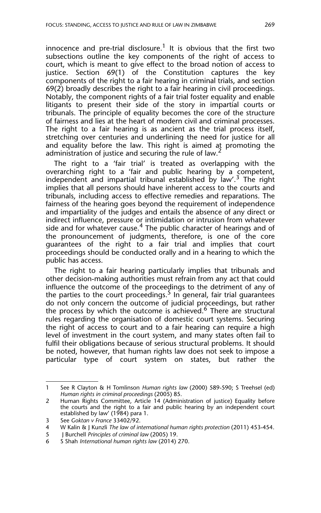innocence and pre-trial disclosure.<sup>1</sup> It is obvious that the first two subsections outline the key components of the right of access to court, which is meant to give effect to the broad notion of access to justice. Section 69(1) of the Constitution captures the key components of the right to a fair hearing in criminal trials, and section 69(2) broadly describes the right to a fair hearing in civil proceedings. Notably, the component rights of a fair trial foster equality and enable litigants to present their side of the story in impartial courts or tribunals. The principle of equality becomes the core of the structure of fairness and lies at the heart of modern civil and criminal processes. The right to a fair hearing is as ancient as the trial process itself, stretching over centuries and underlining the need for justice for all and equality before the law. This right is aimed at promoting the administration of justice and securing the rule of law.<sup>2</sup>

The right to a 'fair trial' is treated as overlapping with the overarching right to a 'fair and public hearing by a competent, independent and impartial tribunal established by  $\int$ aw'.<sup>3</sup> The right implies that all persons should have inherent access to the courts and tribunals, including access to effective remedies and reparations. The fairness of the hearing goes beyond the requirement of independence and impartiality of the judges and entails the absence of any direct or indirect influence, pressure or intimidation or intrusion from whatever side and for whatever cause.<sup>4</sup> The public character of hearings and of the pronouncement of judgments, therefore, is one of the core guarantees of the right to a fair trial and implies that court proceedings should be conducted orally and in a hearing to which the public has access.

The right to a fair hearing particularly implies that tribunals and other decision-making authorities must refrain from any act that could influence the outcome of the proceedings to the detriment of any of the parties to the court proceedings.<sup>5</sup> In general, fair trial guarantees do not only concern the outcome of judicial proceedings, but rather the process by which the outcome is achieved.<sup>6</sup> There are structural rules regarding the organisation of domestic court systems. Securing the right of access to court and to a fair hearing can require a high level of investment in the court system, and many states often fail to fulfil their obligations because of serious structural problems. It should be noted, however, that human rights law does not seek to impose a particular type of court system on states, but rather the

<sup>1</sup> See R Clayton & H Tomlinson *Human rights law* (2000) 589-590; S Treehsel (ed) *Human rights in criminal proceedings* (2005) 85.

<sup>2</sup> Human Rights Committee, Article 14 (Administration of justice) Equality before the courts and the right to a fair and public hearing by an independent court established by law' (1984) para 1.

<sup>3</sup> See *Goktan v France* 33402/92.

<sup>4</sup> W Kalin & J Kunzli *The law of international human rights protection* (2011) 453-454.

<sup>5</sup> J Burchell *Principles of criminal law* (2005) 19.

<sup>6</sup> S Shah *International human rights law* (2014) 270.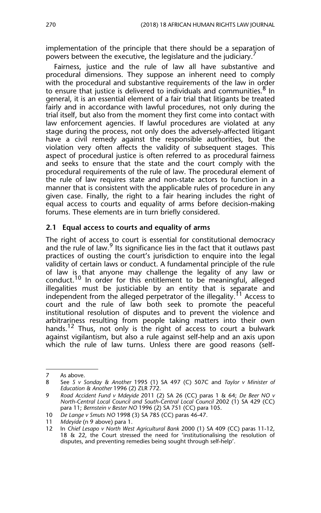implementation of the principle that there should be a separation of powers between the executive, the legislature and the judiciary.

Fairness, justice and the rule of law all have substantive and procedural dimensions. They suppose an inherent need to comply with the procedural and substantive requirements of the law in order to ensure that justice is delivered to individuals and communities.<sup>8</sup> In general, it is an essential element of a fair trial that litigants be treated fairly and in accordance with lawful procedures, not only during the trial itself, but also from the moment they first come into contact with law enforcement agencies. If lawful procedures are violated at any stage during the process, not only does the adversely-affected litigant have a civil remedy against the responsible authorities, but the violation very often affects the validity of subsequent stages. This aspect of procedural justice is often referred to as procedural fairness and seeks to ensure that the state and the court comply with the procedural requirements of the rule of law. The procedural element of the rule of law requires state and non-state actors to function in a manner that is consistent with the applicable rules of procedure in any given case. Finally, the right to a fair hearing includes the right of equal access to courts and equality of arms before decision-making forums. These elements are in turn briefly considered.

#### **2.1 Equal access to courts and equality of arms**

The right of access to court is essential for constitutional democracy and the rule of law.  $9$  Its significance lies in the fact that it outlaws past practices of ousting the court's jurisdiction to enquire into the legal validity of certain laws or conduct. A fundamental principle of the rule of law is that anyone may challenge the legality of any law or conduct.<sup>10</sup> In order for this entitlement to be meaningful, alleged illegalities must be justiciable by an entity that is separate and independent from the alleged perpetrator of the illegality.<sup>11</sup> Access to court and the rule of law both seek to promote the peaceful institutional resolution of disputes and to prevent the violence and arbitrariness resulting from people taking matters into their own hands.<sup>12</sup> Thus, not only is the right of access to court a bulwark against vigilantism, but also a rule against self-help and an axis upon which the rule of law turns. Unless there are good reasons (self-

<sup>7</sup> As above.<br>8 See S  $v$  S

<sup>8</sup> See *S v Sonday & Another* 1995 (1) SA 497 (C) 507C and *Taylor v Minister of Education & Another* 1996 (2) ZLR 772.

<sup>9</sup> *Road Accident Fund v Mdeyide* 2011 (2) SA 26 (CC) paras 1 & 64; *De Beer NO v North-Central Local Council and South-Central Local Council* 2002 (1) SA 429 (CC) para 11; *Bernstein v Bester NO* 1996 (2) SA 751 (CC) para 105.

<sup>10</sup> *De Lange v Smuts NO* 1998 (3) SA 785 (CC) paras 46-47.

<sup>11</sup> *Mdeyide* (n 9 above) para 1.

<sup>12</sup> In *Chief Lesapo v North West Agricultural Bank* 2000 (1) SA 409 (CC) paras 11-12, 18 & 22, the Court stressed the need for 'institutionalising the resolution of disputes, and preventing remedies being sought through self-help'.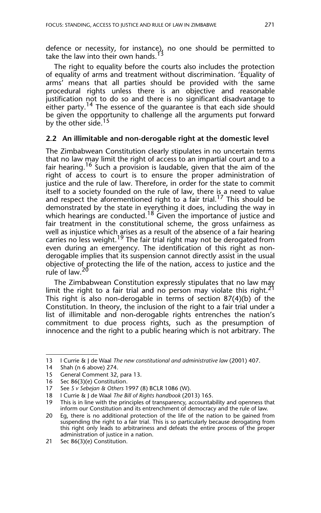defence or necessity, for instance), no one should be permitted to take the law into their own hands.<sup>13</sup>

The right to equality before the courts also includes the protection of equality of arms and treatment without discrimination. 'Equality of arms' means that all parties should be provided with the same procedural rights unless there is an objective and reasonable justification not to do so and there is no significant disadvantage to either party.<sup>14</sup> The essence of the quarantee is that each side should be given the opportunity to challenge all the arguments put forward by the other side.<sup>15</sup>

#### **2.2 An illimitable and non-derogable right at the domestic level**

The Zimbabwean Constitution clearly stipulates in no uncertain terms that no law may limit the right of access to an impartial court and to a fair hearing.<sup>16</sup> Such a provision is laudable, given that the aim of the right of access to court is to ensure the proper administration of justice and the rule of law. Therefore, in order for the state to commit itself to a society founded on the rule of law, there is a need to value and respect the aforementioned right to a fair trial.<sup>17</sup> This should be demonstrated by the state in everything it does, including the way in which hearings are conducted.<sup>18</sup> Given the importance of justice and fair treatment in the constitutional scheme, the gross unfairness as well as injustice which arises as a result of the absence of a fair hearing carries no less weight.<sup>19</sup> The fair trial right may not be derogated from even during an emergency. The identification of this right as nonderogable implies that its suspension cannot directly assist in the usual objective of protecting the life of the nation, access to justice and the rule of law.<sup>20</sup>

The Zimbabwean Constitution expressly stipulates that no law may limit the right to a fair trial and no person may violate this right.<sup>21</sup> This right is also non-derogable in terms of section 87(4)(b) of the Constitution. In theory, the inclusion of the right to a fair trial under a list of illimitable and non-derogable rights entrenches the nation's commitment to due process rights, such as the presumption of innocence and the right to a public hearing which is not arbitrary. The

<sup>13</sup> I Currie & J de Waal *The new constitutional and administrative law* (2001) 407.

<sup>14</sup> Shah (n 6 above) 274.

<sup>15</sup> General Comment 32, para 13.

<sup>16</sup> Sec 86(3)(e) Constitution.

<sup>17</sup> See *S v Sebejan & Others* 1997 (8) BCLR 1086 (W).

<sup>18</sup> I Currie & J de Waal *The Bill of Rights handbook* (2013) 165.

<sup>19</sup> This is in line with the principles of transparency, accountability and openness that inform our Constitution and its entrenchment of democracy and the rule of law.

<sup>20</sup> Eg, there is no additional protection of the life of the nation to be gained from suspending the right to a fair trial. This is so particularly because derogating from this right only leads to arbitrariness and defeats the entire process of the proper administration of justice in a nation.

<sup>21</sup> Sec 86(3)(e) Constitution.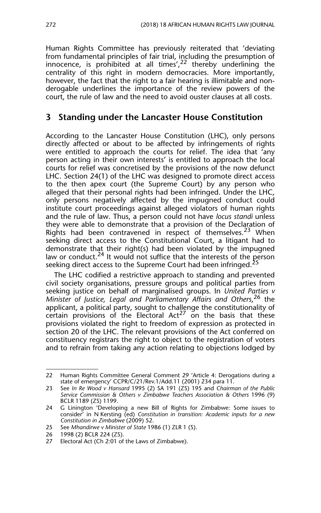Human Rights Committee has previously reiterated that 'deviating from fundamental principles of fair trial, including the presumption of innocence, is prohibited at all times',  $2^2$  thereby underlining the centrality of this right in modern democracies. More importantly, however, the fact that the right to a fair hearing is illimitable and nonderogable underlines the importance of the review powers of the court, the rule of law and the need to avoid ouster clauses at all costs.

## **3 Standing under the Lancaster House Constitution**

According to the Lancaster House Constitution (LHC), only persons directly affected or about to be affected by infringements of rights were entitled to approach the courts for relief. The idea that 'any person acting in their own interests' is entitled to approach the local courts for relief was concretised by the provisions of the now defunct LHC. Section 24(1) of the LHC was designed to promote direct access to the then apex court (the Supreme Court) by any person who alleged that their personal rights had been infringed. Under the LHC, only persons negatively affected by the impugned conduct could institute court proceedings against alleged violators of human rights and the rule of law. Thus, a person could not have *locus standi* unless they were able to demonstrate that a provision of the Declaration of Rights had been contravened in respect of themselves.<sup>23</sup> When seeking direct access to the Constitutional Court, a litigant had to demonstrate that their right(s) had been violated by the impugned law or conduct.<sup>24</sup> It would not suffice that the interests of the person seeking direct access to the Supreme Court had been infringed.<sup>2</sup>

The LHC codified a restrictive approach to standing and prevented civil society organisations, pressure groups and political parties from seeking justice on behalf of marginalised groups. In *United Parties v Minister of Justice, Legal and Parliamentary Affairs and Others*, 26 the applicant, a political party, sought to challenge the constitutionality of  $c$  provisions of the Electoral Act<sup>27</sup> on the basis that these provisions violated the right to freedom of expression as protected in section 20 of the LHC. The relevant provisions of the Act conferred on constituency registrars the right to object to the registration of voters and to refrain from taking any action relating to objections lodged by

25 See *Mhandirwe v Minister of State* 1986 (1) ZLR 1 (S).

<sup>22</sup> Human Rights Committee General Comment 29 'Article 4: Derogations during a state of emergency' CCPR/C/21/Rev.1/Add.11 (2001) 234 para 11.

<sup>23</sup> See *In Re Wood v Hansard* 1995 (2) SA 191 (ZS) 195 and *Chairman of the Public Service Commission & Others v Zimbabwe Teachers Association & Others* 1996 (9) BCLR 1189 (ZS) 1199.

<sup>24</sup> G Linington 'Developing a new Bill of Rights for Zimbabwe: Some issues to consider' in N Kersting (ed) *Constitution in transition: Academic inputs for a new Constitution in Zimbabwe* (2009) 52.

<sup>26 1998 (2)</sup> BCLR 224 (ZS).

<sup>27</sup> Electoral Act (Ch 2:01 of the Laws of Zimbabwe).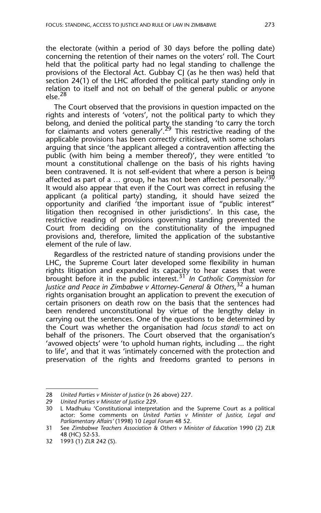the electorate (within a period of 30 days before the polling date) concerning the retention of their names on the voters' roll. The Court held that the political party had no legal standing to challenge the provisions of the Electoral Act. Gubbay CJ (as he then was) held that section 24(1) of the LHC afforded the political party standing only in relation to itself and not on behalf of the general public or anyone  $else.<sup>28</sup>$ 

The Court observed that the provisions in question impacted on the rights and interests of 'voters', not the political party to which they belong, and denied the political party the standing 'to carry the torch for claimants and voters generally'.<sup>29</sup> This restrictive reading of the applicable provisions has been correctly criticised, with some scholars arguing that since 'the applicant alleged a contravention affecting the public (with him being a member thereof)', they were entitled 'to mount a constitutional challenge on the basis of his rights having been contravened. It is not self-evident that where a person is being affected as part of a ... group, he has not been affected personally.<sup>30</sup> It would also appear that even if the Court was correct in refusing the applicant (a political party) standing, it should have seized the opportunity and clarified 'the important issue of "public interest" litigation then recognised in other jurisdictions'. In this case, the restrictive reading of provisions governing standing prevented the Court from deciding on the constitutionality of the impugned provisions and, therefore, limited the application of the substantive element of the rule of law.

Regardless of the restricted nature of standing provisions under the LHC, the Supreme Court later developed some flexibility in human rights litigation and expanded its capacity to hear cases that were brought before it in the public interest.<sup>31</sup> *In Catholic Commission for Justice and Peace in Zimbabwe v Attorney-General & Others*, 32 a human rights organisation brought an application to prevent the execution of certain prisoners on death row on the basis that the sentences had been rendered unconstitutional by virtue of the lengthy delay in carrying out the sentences. One of the questions to be determined by the Court was whether the organisation had *locus standi* to act on behalf of the prisoners. The Court observed that the organisation's 'avowed objects' were 'to uphold human rights, including ... the right to life', and that it was 'intimately concerned with the protection and preservation of the rights and freedoms granted to persons in

<sup>28</sup> *United Parties v Minister of Justice* (n 26 above) 227.

<sup>29</sup> *United Parties v Minister of Justice* 229.

L Madhuku 'Constitutional interpretation and the Supreme Court as a political actor: Some comments on *United Parties v Minister of Justice, Legal and Parliamentary Affairs'* (1998) 10 *Legal Forum* 48 52.

<sup>31</sup> See *Zimbabwe Teachers Association & Others v Minister of Education* 1990 (2) ZLR 48 (HC) 52-53.

<sup>32 1993 (1)</sup> ZLR 242 (S).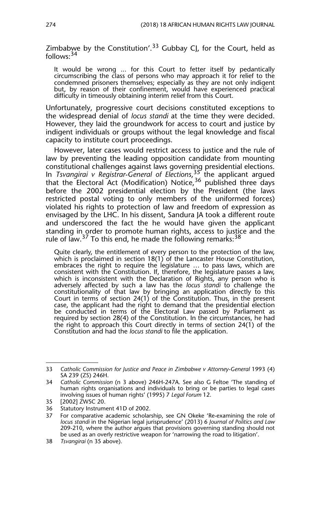Zimbabwe by the Constitution'.<sup>33</sup> Gubbay CJ, for the Court, held as follows: $34$ 

It would be wrong ... for this Court to fetter itself by pedantically circumscribing the class of persons who may approach it for relief to the condemned prisoners themselves; especially as they are not only indigent but, by reason of their confinement, would have experienced practical difficulty in timeously obtaining interim relief from this Court.

Unfortunately, progressive court decisions constituted exceptions to the widespread denial of *locus standi* at the time they were decided. However, they laid the groundwork for access to court and justice by indigent individuals or groups without the legal knowledge and fiscal capacity to institute court proceedings.

However, later cases would restrict access to justice and the rule of law by preventing the leading opposition candidate from mounting constitutional challenges against laws governing presidential elections. In *Tsvangirai v Registrar-General of Elections*, 35 the applicant argued that the Electoral Act (Modification) Notice,<sup>36</sup> published three days before the 2002 presidential election by the President (the laws restricted postal voting to only members of the uniformed forces) violated his rights to protection of law and freedom of expression as envisaged by the LHC. In his dissent, Sandura JA took a different route and underscored the fact the he would have given the applicant standing in order to promote human rights, access to justice and the rule of law.<sup>37</sup> To this end, he made the following remarks:  $38$ 

Quite clearly, the entitlement of every person to the protection of the law, which is proclaimed in section 18(1) of the Lancaster House Constitution, embraces the right to require the legislature ... to pass laws, which are consistent with the Constitution. If, therefore, the legislature passes a law, which is inconsistent with the Declaration of Rights, any person who is adversely affected by such a law has the *locus standi* to challenge the constitutionality of that law by bringing an application directly to this Court in terms of section 24(1) of the Constitution. Thus, in the present case, the applicant had the right to demand that the presidential election be conducted in terms of the Electoral Law passed by Parliament as required by section 28(4) of the Constitution. In the circumstances, he had the right to approach this Court directly in terms of section 24(1) of the Constitution and had the *locus standi* to file the application.

<sup>33</sup> *Catholic Commission for Justice and Peace in Zimbabwe v Attorney-General* 1993 (4) SA 239 (ZS) 246H.

<sup>34</sup> *Catholic Commission* (n 3 above) 246H-247A. See also G Feltoe 'The standing of human rights organisations and individuals to bring or be parties to legal cases involving issues of human rights' (1995) 7 *Legal Forum* 12.

<sup>35 [2002]</sup> ZWSC 20.

<sup>36</sup> Statutory Instrument 41D of 2002.

<sup>37</sup> For comparative academic scholarship, see GN Okeke 'Re-examining the role of *locus standi* in the Nigerian legal jurisprudence' (2013) 6 *Journal of Politics and Law* 209-210, where the author argues that provisions governing standing should not be used as an overly restrictive weapon for 'narrowing the road to litigation'.

<sup>38</sup> *Tsvangirai* (n 35 above).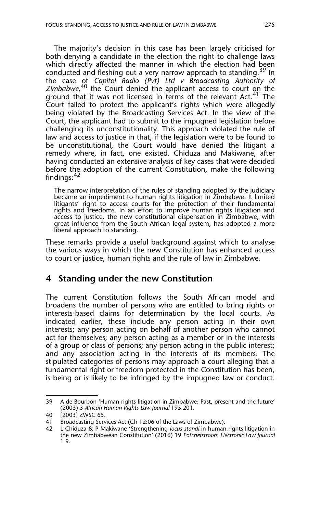The majority's decision in this case has been largely criticised for both denying a candidate in the election the right to challenge laws which directly affected the manner in which the election had been conducted and fleshing out a very narrow approach to standing.<sup>39</sup> In the case of *Capitol Radio (Pvt) Ltd v Broadcasting Authority of* Zimbabwe,<sup>40</sup> the Court denied the applicant access to court on the ground that it was not licensed in terms of the relevant Act.<sup>41</sup> The Court failed to protect the applicant's rights which were allegedly being violated by the Broadcasting Services Act. In the view of the Court, the applicant had to submit to the impugned legislation before challenging its unconstitutionality. This approach violated the rule of law and access to justice in that, if the legislation were to be found to be unconstitutional, the Court would have denied the litigant a remedy where, in fact, one existed. Chiduza and Makiwane, after having conducted an extensive analysis of key cases that were decided before the adoption of the current Constitution, make the following findings:<sup>42</sup>

The narrow interpretation of the rules of standing adopted by the judiciary became an impediment to human rights litigation in Zimbabwe. It limited litigants' right to access courts for the protection of their fundamental rights and freedoms. In an effort to improve human rights litigation and access to justice, the new constitutional dispensation in Zimbabwe, with great influence from the South African legal system, has adopted a more liberal approach to standing.

These remarks provide a useful background against which to analyse the various ways in which the new Constitution has enhanced access to court or justice, human rights and the rule of law in Zimbabwe.

## **4 Standing under the new Constitution**

The current Constitution follows the South African model and broadens the number of persons who are entitled to bring rights or interests-based claims for determination by the local courts. As indicated earlier, these include any person acting in their own interests; any person acting on behalf of another person who cannot act for themselves; any person acting as a member or in the interests of a group or class of persons; any person acting in the public interest; and any association acting in the interests of its members. The stipulated categories of persons may approach a court alleging that a fundamental right or freedom protected in the Constitution has been, is being or is likely to be infringed by the impugned law or conduct.

<sup>39</sup> A de Bourbon 'Human rights litigation in Zimbabwe: Past, present and the future' (2003) 3 *African Human Rights Law Journal* 195 201.

<sup>40 [2003]</sup> ZWSC 65.

<sup>41</sup> Broadcasting Services Act (Ch 12:06 of the Laws of Zimbabwe).

<sup>42</sup> L Chiduza & P Makiwane 'Strengthening *locus standi* in human rights litigation in the new Zimbabwean Constitution' (2016) 19 *Potchefstroom Electronic Law Journal* 1 9.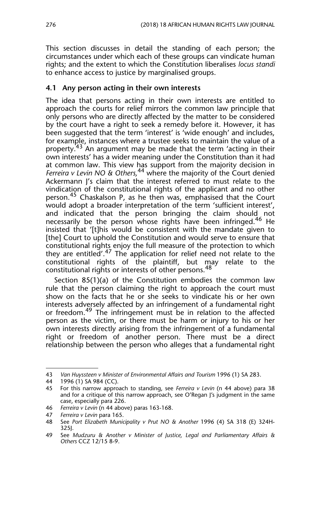This section discusses in detail the standing of each person; the circumstances under which each of these groups can vindicate human rights; and the extent to which the Constitution liberalises *locus standi* to enhance access to justice by marginalised groups.

#### **4.1 Any person acting in their own interests**

The idea that persons acting in their own interests are entitled to approach the courts for relief mirrors the common law principle that only persons who are directly affected by the matter to be considered by the court have a right to seek a remedy before it. However, it has been suggested that the term 'interest' is 'wide enough' and includes, for example, instances where a trustee seeks to maintain the value of a property.<sup>43</sup> An argument may be made that the term 'acting in their own interests' has a wider meaning under the Constitution than it had at common law. This view has support from the majority decision in *Ferreira v Levin NO & Others,*44 where the majority of the Court denied Ackermann J's claim that the interest referred to must relate to the vindication of the constitutional rights of the applicant and no other person.<sup>45</sup> Chaskalson P, as he then was, emphasised that the Court would adopt a broader interpretation of the term 'sufficient interest', and indicated that the person bringing the claim should not necessarily be the person whose rights have been infringed.<sup>46</sup> He insisted that '[t]his would be consistent with the mandate given to [the] Court to uphold the Constitution and would serve to ensure that constitutional rights enjoy the full measure of the protection to which they are entitled'.47 The application for relief need not relate to the constitutional rights of the plaintiff, but may relate to the constitutional rights or interests of other persons.<sup>48</sup>

Section 85(1)(a) of the Constitution embodies the common law rule that the person claiming the right to approach the court must show on the facts that he or she seeks to vindicate his or her own interests adversely affected by an infringement of a fundamental right or freedom.<sup>49</sup> The infringement must be in relation to the affected person as the victim, or there must be harm or injury to his or her own interests directly arising from the infringement of a fundamental right or freedom of another person. There must be a direct relationship between the person who alleges that a fundamental right

<sup>43</sup> *Van Huyssteen v Minister of Environmental Affairs and Tourism* 1996 (1) SA 283.

<sup>44 1996 (1)</sup> SA 984 (CC).

<sup>45</sup> For this narrow approach to standing, see *Ferreira v Levin* (n 44 above) para 38 and for a critique of this narrow approach, see O'Regan J's judgment in the same case, especially para 226.

<sup>46</sup> *Ferreira v Levin* (n 44 above) paras 163-168.

<sup>47</sup> *Ferreira v Levin* para 165.

<sup>48</sup> See *Port Elizabeth Municipality v Prut NO & Another* 1996 (4) SA 318 (E) 324H-325J.

<sup>49</sup> See *Mudzuru & Another v Minister of Justice, Legal and Parliamentary Affairs & Others* CCZ 12/15 8-9.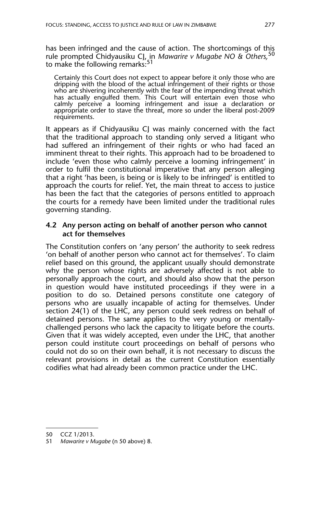has been infringed and the cause of action. The shortcomings of this rule prompted Chidyausiku CJ, in *Mawarire v Mugabe NO & Others,*<sup>50</sup> to make the following remarks:<sup>51</sup>

Certainly this Court does not expect to appear before it only those who are dripping with the blood of the actual infringement of their rights or those who are shivering incoherently with the fear of the impending threat which has actually engulfed them. This Court will entertain even those who calmly perceive a looming infringement and issue a declaration or appropriate order to stave the threat, more so under the liberal post-2009 requirements.

It appears as if Chidyausiku CJ was mainly concerned with the fact that the traditional approach to standing only served a litigant who had suffered an infringement of their rights or who had faced an imminent threat to their rights. This approach had to be broadened to include 'even those who calmly perceive a looming infringement' in order to fulfil the constitutional imperative that any person alleging that a right 'has been, is being or is likely to be infringed' is entitled to approach the courts for relief. Yet, the main threat to access to justice has been the fact that the categories of persons entitled to approach the courts for a remedy have been limited under the traditional rules governing standing.

#### **4.2 Any person acting on behalf of another person who cannot act for themselves**

The Constitution confers on 'any person' the authority to seek redress 'on behalf of another person who cannot act for themselves'. To claim relief based on this ground, the applicant usually should demonstrate why the person whose rights are adversely affected is not able to personally approach the court, and should also show that the person in question would have instituted proceedings if they were in a position to do so. Detained persons constitute one category of persons who are usually incapable of acting for themselves. Under section 24(1) of the LHC, any person could seek redress on behalf of detained persons. The same applies to the very young or mentallychallenged persons who lack the capacity to litigate before the courts. Given that it was widely accepted, even under the LHC, that another person could institute court proceedings on behalf of persons who could not do so on their own behalf, it is not necessary to discuss the relevant provisions in detail as the current Constitution essentially codifies what had already been common practice under the LHC.

<sup>50</sup> CCZ 1/2013.

<sup>51</sup> *Mawarire v Mugabe* (n 50 above) 8.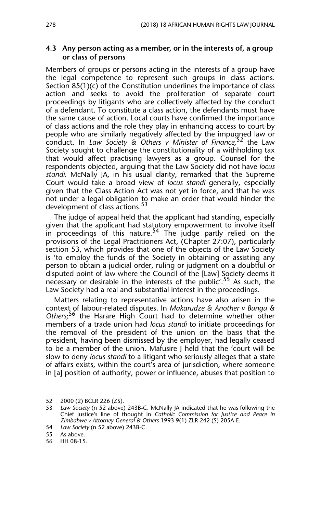#### **4.3 Any person acting as a member, or in the interests of, a group or class of persons**

Members of groups or persons acting in the interests of a group have the legal competence to represent such groups in class actions. Section 85(1)(c) of the Constitution underlines the importance of class action and seeks to avoid the proliferation of separate court proceedings by litigants who are collectively affected by the conduct of a defendant. To constitute a class action, the defendants must have the same cause of action. Local courts have confirmed the importance of class actions and the role they play in enhancing access to court by people who are similarly negatively affected by the impugned law or conduct. In *Law Society & Others v Minister of Finance,*<sup>52</sup> the Law Society sought to challenge the constitutionality of a withholding tax that would affect practising lawyers as a group. Counsel for the respondents objected, arguing that the Law Society did not have *locus standi*. McNally JA, in his usual clarity, remarked that the Supreme Court would take a broad view of *locus standi* generally, especially given that the Class Action Act was not yet in force, and that he was not under a legal obligation to make an order that would hinder the development of class actions.<sup>53</sup>

The judge of appeal held that the applicant had standing, especially given that the applicant had statutory empowerment to involve itself in proceedings of this nature.<sup>54</sup> The judge partly relied on the provisions of the Legal Practitioners Act, (Chapter 27:07), particularly section 53, which provides that one of the objects of the Law Society is 'to employ the funds of the Society in obtaining or assisting any person to obtain a judicial order, ruling or judgment on a doubtful or disputed point of law where the Council of the [Law] Society deems it necessary or desirable in the interests of the public'.<sup>55</sup> As such, the Law Society had a real and substantial interest in the proceedings.

Matters relating to representative actions have also arisen in the context of labour-related disputes. In *Makarudze & Another v Bungu &* Others;<sup>56</sup> the Harare High Court had to determine whether other members of a trade union had *locus standi* to initiate proceedings for the removal of the president of the union on the basis that the president, having been dismissed by the employer, had legally ceased to be a member of the union. Mafusire J held that the 'court will be slow to deny *locus standi* to a litigant who seriously alleges that a state of affairs exists, within the court's area of jurisdiction, where someone in [a] position of authority, power or influence, abuses that position to

<sup>52 2000 (2)</sup> BCLR 226 (ZS).

<sup>53</sup> *Law Society* (n 52 above) 243B-C. McNally JA indicated that he was following the Chief Justice's line of thought in *Catholic Commission for Justice and Peace in Zimbabwe v Attorney-General & Others* 1993 9(1) ZLR 242 (S) 205A-E.

<sup>54</sup> *Law Society* (n 52 above) 243B-C*.*

<sup>55</sup> As above*.*

<sup>56</sup> HH 08-15.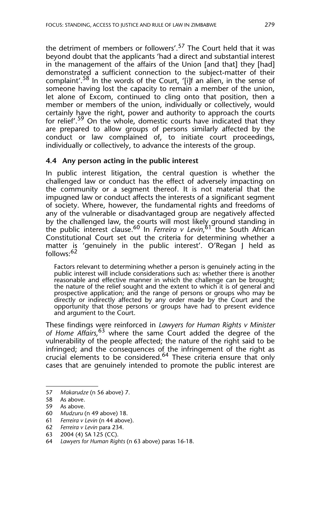the detriment of members or followers'.<sup>57</sup> The Court held that it was beyond doubt that the applicants 'had a direct and substantial interest in the management of the affairs of the Union [and that] they [had] demonstrated a sufficient connection to the subject-matter of their complaint'.<sup>58</sup> In the words of the Court, '[i]f an alien, in the sense of someone having lost the capacity to remain a member of the union, let alone of Excom, continued to cling onto that position, then a member or members of the union, individually or collectively, would certainly have the right, power and authority to approach the courts for relief'.<sup>59</sup> On the whole, domestic courts have indicated that they are prepared to allow groups of persons similarly affected by the conduct or law complained of, to initiate court proceedings, individually or collectively, to advance the interests of the group.

#### **4.4 Any person acting in the public interest**

In public interest litigation, the central question is whether the challenged law or conduct has the effect of adversely impacting on the community or a segment thereof. It is not material that the impugned law or conduct affects the interests of a significant segment of society. Where, however, the fundamental rights and freedoms of any of the vulnerable or disadvantaged group are negatively affected by the challenged law, the courts will most likely ground standing in the public interest clause.<sup>60</sup> In *Ferreira v Levin*,<sup>61</sup> the South African Constitutional Court set out the criteria for determining whether a matter is 'genuinely in the public interest'. O'Regan J held as follows:<sup>62</sup>

Factors relevant to determining whether a person is genuinely acting in the public interest will include considerations such as: whether there is another reasonable and effective manner in which the challenge can be brought; the nature of the relief sought and the extent to which it is of general and prospective application; and the range of persons or groups who may be directly or indirectly affected by any order made by the Court and the opportunity that those persons or groups have had to present evidence and argument to the Court.

These findings were reinforced in *Lawyers for Human Rights v Minister of Home Affairs,*63 where the same Court added the degree of the vulnerability of the people affected; the nature of the right said to be infringed; and the consequences of the infringement of the right as crucial elements to be considered.64 These criteria ensure that only cases that are genuinely intended to promote the public interest are

<sup>57</sup> *Makarudze* (n 56 above) 7.

<sup>58</sup> As above.

<sup>59</sup> As above.

<sup>60</sup> *Mudzuru* (n 49 above) 18.

<sup>61</sup> *Ferreira v Levin* (n 44 above).

<sup>62</sup> *Ferreira v Levin* para 234.

<sup>63 2004 (4)</sup> SA 125 (CC).

<sup>64</sup> *Lawyers for Human Rights* (n 63 above) paras 16-18.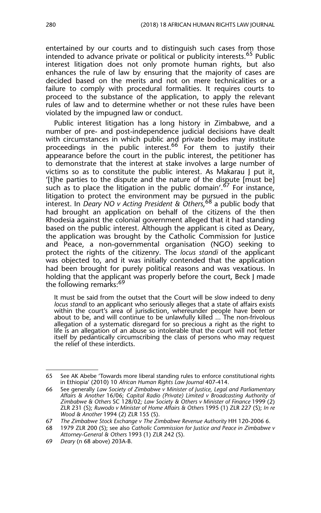entertained by our courts and to distinguish such cases from those intended to advance private or political or publicity interests.<sup>65</sup> Public interest litigation does not only promote human rights, but also enhances the rule of law by ensuring that the majority of cases are decided based on the merits and not on mere technicalities or a failure to comply with procedural formalities. It requires courts to proceed to the substance of the application, to apply the relevant rules of law and to determine whether or not these rules have been violated by the impugned law or conduct.

Public interest litigation has a long history in Zimbabwe, and a number of pre- and post-independence judicial decisions have dealt with circumstances in which public and private bodies may institute proceedings in the public interest.<sup>66</sup> For them to justify their appearance before the court in the public interest, the petitioner has to demonstrate that the interest at stake involves a large number of victims so as to constitute the public interest. As Makarau J put it, '[t]he parties to the dispute and the nature of the dispute [must be] such as to place the litigation in the public domain'.<sup>67</sup> For instance, litigation to protect the environment may be pursued in the public interest. In *Deary NO v Acting President & Others*, 68 a public body that had brought an application on behalf of the citizens of the then Rhodesia against the colonial government alleged that it had standing based on the public interest. Although the applicant is cited as Deary, the application was brought by the Catholic Commission for Justice and Peace, a non-governmental organisation (NGO) seeking to protect the rights of the citizenry. The *locus standi* of the applicant was objected to, and it was initially contended that the application had been brought for purely political reasons and was vexatious. In holding that the applicant was properly before the court, Beck I made the following remarks:<sup>69</sup>

It must be said from the outset that the Court will be slow indeed to deny *locus standi* to an applicant who seriously alleges that a state of affairs exists within the court's area of jurisdiction, whereunder people have been or about to be, and will continue to be unlawfully killed ... The non-frivolous allegation of a systematic disregard for so precious a right as the right to life is an allegation of an abuse so intolerable that the court will not fetter itself by pedantically circumscribing the class of persons who may request the relief of these interdicts.

<sup>65</sup> See AK Abebe 'Towards more liberal standing rules to enforce constitutional rights in Ethiopia' (2010) 10 *African Human Rights Law Journal* 407-414.

<sup>66</sup> See generally *Law Society of Zimbabwe v Minister of Justice, Legal and Parliamentary Affairs & Another* 16/06; *Capital Radio (Private) Limited v Broadcasting Authority of Zimbabwe & Others* SC 128/02*; Law Society & Others v Minister of Finance* 1999 (2) ZLR 231 (S); *Ruwodo v Minister of Home Affairs & Others* 1995 (1) ZLR 227 (S); *In re Wood & Another* 1994 (2) ZLR 155 (S).

<sup>67</sup> *The Zimbabwe Stock Exchange v The Zimbabwe Revenue Authority* HH 120-2006 6.

<sup>68 1979</sup> ZLR 200 (S); see also *Catholic Commission for Justice and Peace in Zimbabwe v Attorney-General & Others* 1993 (1) ZLR 242 (S).

<sup>69</sup> *Deary* (n 68 above) 203A-B.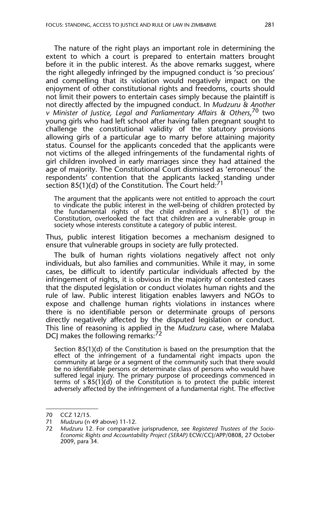The nature of the right plays an important role in determining the extent to which a court is prepared to entertain matters brought before it in the public interest. As the above remarks suggest, where the right allegedly infringed by the impugned conduct is 'so precious' and compelling that its violation would negatively impact on the enjoyment of other constitutional rights and freedoms, courts should not limit their powers to entertain cases simply because the plaintiff is not directly affected by the impugned conduct. In *Mudzuru & Another v Minister of Justice, Legal and Parliamentary Affairs & Others*, 70 two young girls who had left school after having fallen pregnant sought to challenge the constitutional validity of the statutory provisions allowing girls of a particular age to marry before attaining majority status. Counsel for the applicants conceded that the applicants were not victims of the alleged infringements of the fundamental rights of girl children involved in early marriages since they had attained the age of majority. The Constitutional Court dismissed as 'erroneous' the respondents' contention that the applicants lacked standing under section 85(1)(d) of the Constitution. The Court held: $71$ 

The argument that the applicants were not entitled to approach the court to vindicate the public interest in the well-being of children protected by the fundamental rights of the child enshrined in s 81(1) of the Constitution, overlooked the fact that children are a vulnerable group in society whose interests constitute a category of public interest.

Thus, public interest litigation becomes a mechanism designed to ensure that vulnerable groups in society are fully protected.

The bulk of human rights violations negatively affect not only individuals, but also families and communities. While it may, in some cases, be difficult to identify particular individuals affected by the infringement of rights, it is obvious in the majority of contested cases that the disputed legislation or conduct violates human rights and the rule of law. Public interest litigation enables lawyers and NGOs to expose and challenge human rights violations in instances where there is no identifiable person or determinate groups of persons directly negatively affected by the disputed legislation or conduct. This line of reasoning is applied in the *Mudzuru* case, where Malaba DCJ makes the following remarks: $\frac{72}{7}$ 

Section 85(1)(d) of the Constitution is based on the presumption that the effect of the infringement of a fundamental right impacts upon the community at large or a segment of the community such that there would be no identifiable persons or determinate class of persons who would have suffered legal injury. The primary purpose of proceedings commenced in terms of  $s$  85(1)(d) of the Constitution is to protect the public interest adversely affected by the infringement of a fundamental right. The effective

<sup>70</sup> CCZ 12/15.

<sup>71</sup> *Mudzuru* (n 49 above) 11-12.

<sup>72</sup> *Mudzuru* 12. For comparative jurisprudence, see *Registered Trustees of the Socio-Economic Rights and Accountability Project (SERAP)* ECW/CCJ/APP/0808, 27 October 2009, para 34.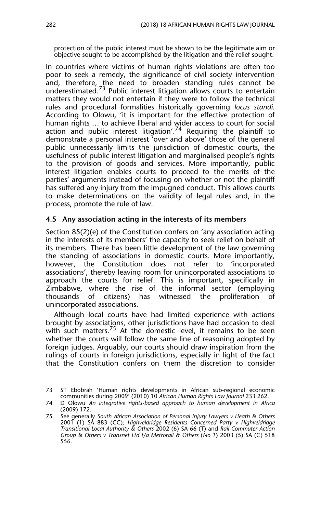protection of the public interest must be shown to be the legitimate aim or objective sought to be accomplished by the litigation and the relief sought.

In countries where victims of human rights violations are often too poor to seek a remedy, the significance of civil society intervention and, therefore, the need to broaden standing rules cannot be underestimated.<sup>73</sup> Public interest litigation allows courts to entertain matters they would not entertain if they were to follow the technical rules and procedural formalities historically governing *locus standi*. According to Olowu, 'it is important for the effective protection of human rights … to achieve liberal and wider access to court for social action and public interest litigation'.<sup>74</sup> Requiring the plaintiff to demonstrate a personal interest 'over and above' those of the general public unnecessarily limits the jurisdiction of domestic courts, the usefulness of public interest litigation and marginalised people's rights to the provision of goods and services. More importantly, public interest litigation enables courts to proceed to the merits of the parties' arguments instead of focusing on whether or not the plaintiff has suffered any injury from the impugned conduct. This allows courts to make determinations on the validity of legal rules and, in the process, promote the rule of law.

#### **4.5 Any association acting in the interests of its members**

Section 85(2)(e) of the Constitution confers on 'any association acting in the interests of its members' the capacity to seek relief on behalf of its members. There has been little development of the law governing the standing of associations in domestic courts. More importantly, however, the Constitution does not refer to 'incorporated associations', thereby leaving room for unincorporated associations to approach the courts for relief. This is important, specifically in Zimbabwe, where the rise of the informal sector (employing thousands of citizens) has witnessed the proliferation of unincorporated associations.

Although local courts have had limited experience with actions brought by associations, other jurisdictions have had occasion to deal with such matters.<sup>75</sup> At the domestic level, it remains to be seen whether the courts will follow the same line of reasoning adopted by foreign judges. Arguably, our courts should draw inspiration from the rulings of courts in foreign jurisdictions, especially in light of the fact that the Constitution confers on them the discretion to consider

<sup>73</sup> ST Ebobrah 'Human rights developments in African sub-regional economic communities during 2009' (2010) 10 *African Human Rights Law Journal* 233 262.

<sup>74</sup> D Olowu *An integrative rights-based approach to human development in Africa* (2009) 172.

<sup>75</sup> See generally *South African Association of Personal Injury Lawyers v Heath & Others* 2001 (1) SA 883 (CC); *Highveldridge Residents Concerned Party v Highveldridge Transitional Local Authority & Others* 2002 (6) SA 66 (T) and *Rail Commuter Action Group & Others v Transnet Ltd t/a Metrorail & Others* (*No 1*) 2003 (5) SA (C) 518 556.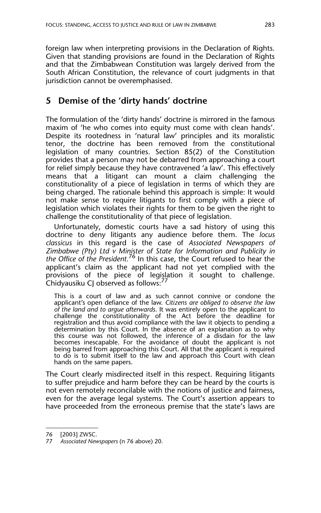foreign law when interpreting provisions in the Declaration of Rights. Given that standing provisions are found in the Declaration of Rights and that the Zimbabwean Constitution was largely derived from the South African Constitution, the relevance of court judgments in that jurisdiction cannot be overemphasised.

## **5 Demise of the 'dirty hands' doctrine**

The formulation of the 'dirty hands' doctrine is mirrored in the famous maxim of 'he who comes into equity must come with clean hands'. Despite its rootedness in 'natural law' principles and its moralistic tenor, the doctrine has been removed from the constitutional legislation of many countries. Section 85(2) of the Constitution provides that a person may not be debarred from approaching a court for relief simply because they have contravened 'a law'. This effectively means that a litigant can mount a claim challenging the constitutionality of a piece of legislation in terms of which they are being charged. The rationale behind this approach is simple: It would not make sense to require litigants to first comply with a piece of legislation which violates their rights for them to be given the right to challenge the constitutionality of that piece of legislation.

Unfortunately, domestic courts have a sad history of using this doctrine to deny litigants any audience before them. The *locus classicus* in this regard is the case of *Associated Newspapers of Zimbabwe (Pty) Ltd v Minister of State for Information and Publicity in the Office of the President.*<sup>76</sup> In this case, the Court refused to hear the applicant's claim as the applicant had not yet complied with the provisions of the piece of legislation it sought to challenge. Chidyausiku CJ observed as follows:<sup>77</sup>

This is a court of law and as such cannot connive or condone the applicant's open defiance of the law. *Citizens are obliged to observe the law of the land and to argue afterwards*. It was entirely open to the applicant to challenge the constitutionality of the Act before the deadline for registration and thus avoid compliance with the law it objects to pending a determination by this Court. In the absence of an explanation as to why this course was not followed, the inference of a disdain for the law becomes inescapable. For the avoidance of doubt the applicant is not being barred from approaching this Court. All that the applicant is required to do is to submit itself to the law and approach this Court with clean hands on the same papers.

The Court clearly misdirected itself in this respect. Requiring litigants to suffer prejudice and harm before they can be heard by the courts is not even remotely reconcilable with the notions of justice and fairness, even for the average legal systems. The Court's assertion appears to have proceeded from the erroneous premise that the state's laws are

<sup>76 [2003]</sup> ZWSC.

<sup>77</sup> *Associated Newspapers* (n 76 above) 20.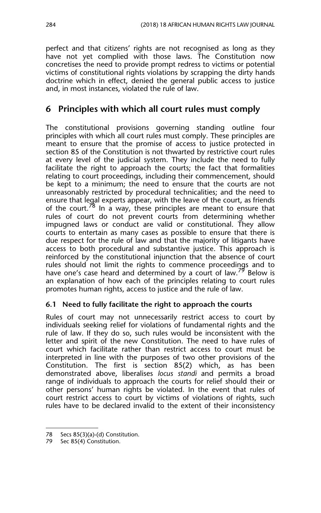perfect and that citizens' rights are not recognised as long as they have not yet complied with those laws. The Constitution now concretises the need to provide prompt redress to victims or potential victims of constitutional rights violations by scrapping the dirty hands doctrine which in effect, denied the general public access to justice and, in most instances, violated the rule of law.

## **6 Principles with which all court rules must comply**

The constitutional provisions governing standing outline four principles with which all court rules must comply. These principles are meant to ensure that the promise of access to justice protected in section 85 of the Constitution is not thwarted by restrictive court rules at every level of the judicial system. They include the need to fully facilitate the right to approach the courts; the fact that formalities relating to court proceedings, including their commencement, should be kept to a minimum; the need to ensure that the courts are not unreasonably restricted by procedural technicalities; and the need to ensure that legal experts appear, with the leave of the court, as friends of the court.<sup>78</sup> In a way, these principles are meant to ensure that rules of court do not prevent courts from determining whether impugned laws or conduct are valid or constitutional. They allow courts to entertain as many cases as possible to ensure that there is due respect for the rule of law and that the majority of litigants have access to both procedural and substantive justice. This approach is reinforced by the constitutional injunction that the absence of court rules should not limit the rights to commence proceedings and to have one's case heard and determined by a court of law.<sup>79</sup> Below is an explanation of how each of the principles relating to court rules promotes human rights, access to justice and the rule of law.

#### **6.1 Need to fully facilitate the right to approach the courts**

Rules of court may not unnecessarily restrict access to court by individuals seeking relief for violations of fundamental rights and the rule of law. If they do so, such rules would be inconsistent with the letter and spirit of the new Constitution. The need to have rules of court which facilitate rather than restrict access to court must be interpreted in line with the purposes of two other provisions of the Constitution. The first is section 85(2) which, as has been demonstrated above, liberalises *locus standi* and permits a broad range of individuals to approach the courts for relief should their or other persons' human rights be violated. In the event that rules of court restrict access to court by victims of violations of rights, such rules have to be declared invalid to the extent of their inconsistency

<sup>78</sup> Secs 85(3)(a)-(d) Constitution.

<sup>79</sup> Sec 85(4) Constitution.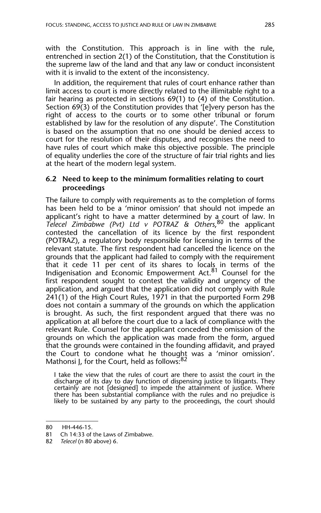with the Constitution. This approach is in line with the rule, entrenched in section 2(1) of the Constitution, that the Constitution is the supreme law of the land and that any law or conduct inconsistent with it is invalid to the extent of the inconsistency.

In addition, the requirement that rules of court enhance rather than limit access to court is more directly related to the illimitable right to a fair hearing as protected in sections 69(1) to (4) of the Constitution. Section 69(3) of the Constitution provides that '[e]very person has the right of access to the courts or to some other tribunal or forum established by law for the resolution of any dispute'. The Constitution is based on the assumption that no one should be denied access to court for the resolution of their disputes, and recognises the need to have rules of court which make this objective possible. The principle of equality underlies the core of the structure of fair trial rights and lies at the heart of the modern legal system.

#### **6.2 Need to keep to the minimum formalities relating to court proceedings**

The failure to comply with requirements as to the completion of forms has been held to be a 'minor omission' that should not impede an applicant's right to have a matter determined by a court of law. In *Telecel Zimbabwe (Pvt) Ltd v POTRAZ & Others*, 80 the applicant contested the cancellation of its licence by the first respondent (POTRAZ), a regulatory body responsible for licensing in terms of the relevant statute. The first respondent had cancelled the licence on the grounds that the applicant had failed to comply with the requirement that it cede 11 per cent of its shares to locals in terms of the Indigenisation and Economic Empowerment Act.<sup>81</sup> Counsel for the first respondent sought to contest the validity and urgency of the application, and argued that the application did not comply with Rule 241(1) of the High Court Rules, 1971 in that the purported Form 29B does not contain a summary of the grounds on which the application is brought. As such, the first respondent argued that there was no application at all before the court due to a lack of compliance with the relevant Rule. Counsel for the applicant conceded the omission of the grounds on which the application was made from the form, argued that the grounds were contained in the founding affidavit, and prayed the Court to condone what he thought was a 'minor omission'. Mathonsi J, for the Court, held as follows:<sup>82</sup>

I take the view that the rules of court are there to assist the court in the discharge of its day to day function of dispensing justice to litigants. They certainly are not [designed] to impede the attainment of justice. Where there has been substantial compliance with the rules and no prejudice is likely to be sustained by any party to the proceedings, the court should

<sup>80</sup> HH-446-15.

<sup>81</sup> Ch 14:33 of the Laws of Zimbabwe.

<sup>82</sup> *Telecel* (n 80 above) 6.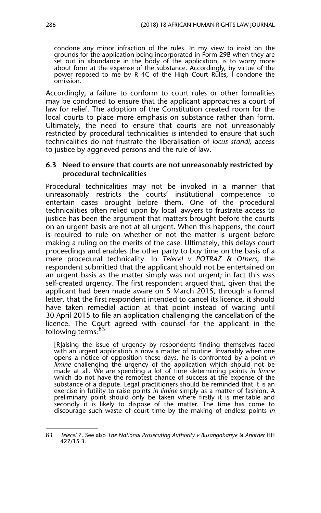condone any minor infraction of the rules. In my view to insist on the grounds for the application being incorporated in Form 29B when they are set out in abundance in the body of the application, is to worry more about form at the expense of the substance. Accordingly, by virtue of the power reposed to me by R 4C of the High Court Rules, I condone the omission.

Accordingly, a failure to conform to court rules or other formalities may be condoned to ensure that the applicant approaches a court of law for relief. The adoption of the Constitution created room for the local courts to place more emphasis on substance rather than form. Ultimately, the need to ensure that courts are not unreasonably restricted by procedural technicalities is intended to ensure that such technicalities do not frustrate the liberalisation of *locus standi,* access to justice by aggrieved persons and the rule of law.

#### **6.3 Need to ensure that courts are not unreasonably restricted by procedural technicalities**

Procedural technicalities may not be invoked in a manner that unreasonably restricts the courts' institutional competence to entertain cases brought before them. One of the procedural technicalities often relied upon by local lawyers to frustrate access to justice has been the argument that matters brought before the courts on an urgent basis are not at all urgent. When this happens, the court is required to rule on whether or not the matter is urgent before making a ruling on the merits of the case. Ultimately, this delays court proceedings and enables the other party to buy time on the basis of a mere procedural technicality. In *Telecel v POTRAZ & Others*, the respondent submitted that the applicant should not be entertained on an urgent basis as the matter simply was not urgent; in fact this was self-created urgency. The first respondent argued that, given that the applicant had been made aware on 5 March 2015, through a formal letter, that the first respondent intended to cancel its licence, it should have taken remedial action at that point instead of waiting until 30 April 2015 to file an application challenging the cancellation of the licence. The Court agreed with counsel for the applicant in the following terms:<sup>83</sup>

[R]aising the issue of urgency by respondents finding themselves faced with an urgent application is now a matter of routine. Invariably when one opens a notice of opposition these days, he is confronted by a point *in limine* challenging the urgency of the application which should not be made at all. We are spending a lot of time determining points *in limine* which do not have the remotest chance of success at the expense of the substance of a dispute. Legal practitioners should be reminded that it is an exercise in futility to raise points *in limine* simply as a matter of fashion. A preliminary point should only be taken where firstly it is meritable and secondly it is likely to dispose of the matter. The time has come to discourage such waste of court time by the making of endless points *in*

<sup>83</sup> *Telecel* 7. See also *The National Prosecuting Authority v Busangabanye & Another* HH 427/15 3.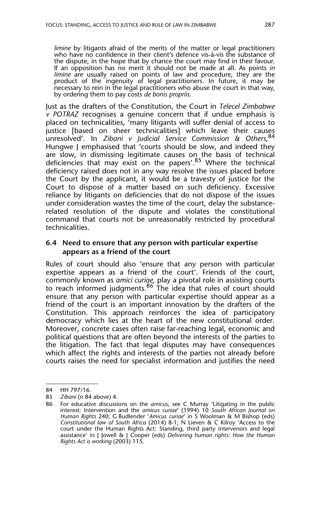*limine* by litigants afraid of the merits of the matter or legal practitioners who have no confidence in their client's defence vis-à-vis the substance of the dispute, in the hope that by chance the court may find in their favour. If an opposition has no merit it should not be made at all. As points *in limine* are usually raised on points of law and procedure, they are the product of the ingenuity of legal practitioners. In future, it may be necessary to rein in the legal practitioners who abuse the court in that way, by ordering them to pay costs *de bonis propriis*.

Just as the drafters of the Constitution, the Court in *Telecel Zimbabwe v POTRAZ* recognises a genuine concern that if undue emphasis is placed on technicalities, 'many litigants will suffer denial of access to justice [based on sheer technicalities] which leave their causes unresolved'. In *Zibani v Judicial Service Commission & Others*, 84 Hungwe J emphasised that 'courts should be slow, and indeed they are slow, in dismissing legitimate causes on the basis of technical deficiencies that may exist on the papers'.<sup>85</sup> Where the technical deficiency raised does not in any way resolve the issues placed before the Court by the applicant, it would be a travesty of justice for the Court to dispose of a matter based on such deficiency. Excessive reliance by litigants on deficiencies that do not dispose of the issues under consideration wastes the time of the court, delay the substancerelated resolution of the dispute and violates the constitutional command that courts not be unreasonably restricted by procedural technicalities.

#### **6.4 Need to ensure that any person with particular expertise appears as a friend of the court**

Rules of court should also 'ensure that any person with particular expertise appears as a friend of the court'. Friends of the court, commonly known as *amici curiae,* play a pivotal role in assisting courts to reach informed judgments.<sup>86</sup> The idea that rules of court should ensure that any person with particular expertise should appear as a friend of the court is an important innovation by the drafters of the Constitution. This approach reinforces the idea of participatory democracy which lies at the heart of the new constitutional order. Moreover, concrete cases often raise far-reaching legal, economic and political questions that are often beyond the interests of the parties to the litigation. The fact that legal disputes may have consequences which affect the rights and interests of the parties not already before courts raises the need for specialist information and justifies the need

<sup>84</sup> HH 797/16.

<sup>85</sup> *Zibani* (n 84 above) 4.

<sup>86</sup> For educative discussions on the *amicus*, see C Murray 'Litigating in the public interest: Intervention and the *amicus curiae*' (1994) 10 *South African Journal on Human Rights* 240; G Budlender '*Amicus curiae*' in S Woolman & M Bishop (eds) *Constitutional law of South Africa* (2014) 8-1; N Lieven & C Kilroy 'Access to the court under the Human Rights Act: Standing, third party intervenors and legal assistance' in J Jowell & J Cooper (eds) *Delivering human rights: How the Human Rights Act is working* (2003) 115.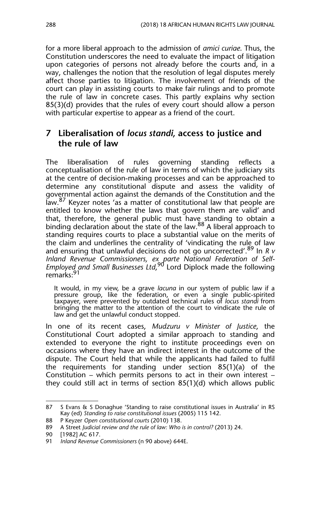for a more liberal approach to the admission of *amici curiae*. Thus, the Constitution underscores the need to evaluate the impact of litigation upon categories of persons not already before the courts and, in a way, challenges the notion that the resolution of legal disputes merely affect those parties to litigation. The involvement of friends of the court can play in assisting courts to make fair rulings and to promote the rule of law in concrete cases. This partly explains why section 85(3)(d) provides that the rules of every court should allow a person with particular expertise to appear as a friend of the court.

## **7 Liberalisation of** *locus standi***, access to justice and the rule of law**

The liberalisation of rules governing standing reflects a conceptualisation of the rule of law in terms of which the judiciary sits at the centre of decision-making processes and can be approached to determine any constitutional dispute and assess the validity of governmental action against the demands of the Constitution and the law.<sup>87</sup> Keyzer notes 'as a matter of constitutional law that people are entitled to know whether the laws that govern them are valid' and that, therefore, the general public must have standing to obtain a binding declaration about the state of the law.<sup>88</sup> A liberal approach to standing requires courts to place a substantial value on the merits of the claim and underlines the centrality of 'vindicating the rule of law and ensuring that unlawful decisions do not go uncorrected'.89 In *R v Inland Revenue Commissioners, ex parte National Federation of Self-Employed and Small Businesses Ltd*, 90 Lord Diplock made the following remarks:<sup>91</sup>

It would, in my view, be a grave *lacuna* in our system of public law if a pressure group, like the federation, or even a single public-spirited taxpayer, were prevented by outdated technical rules of *locus standi* from bringing the matter to the attention of the court to vindicate the rule of law and get the unlawful conduct stopped.

In one of its recent cases, *Mudzuru v Minister of Justice*, the Constitutional Court adopted a similar approach to standing and extended to everyone the right to institute proceedings even on occasions where they have an indirect interest in the outcome of the dispute. The Court held that while the applicants had failed to fulfil the requirements for standing under section 85(1)(a) of the Constitution – which permits persons to act in their own interest – they could still act in terms of section 85(1)(d) which allows public

<sup>87</sup> S Evans & S Donaghue 'Standing to raise constitutional issues in Australia' in RS Kay (ed) *Standing to raise constitutional issues* (2005) 115 142.

<sup>88</sup> P Keyzer *Open constitutional courts* (2010) 138.

<sup>89</sup> A Street *Judicial review and the rule of law: Who is in control?* (2013) 24.

<sup>90 [1982]</sup> AC 617.

<sup>91</sup> *Inland Revenue Commissioners* (n 90 above) 644E.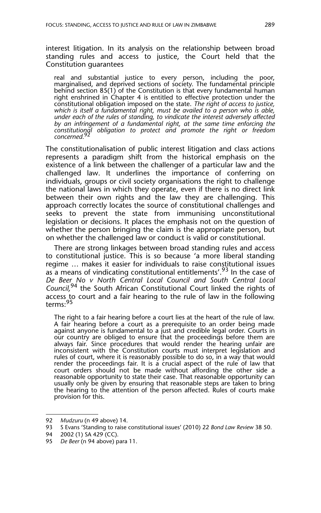interest litigation. In its analysis on the relationship between broad standing rules and access to justice, the Court held that the Constitution guarantees

real and substantial justice to every person, including the poor, marginalised, and deprived sections of society. The fundamental principle behind section 85(1) of the Constitution is that every fundamental human right enshrined in Chapter 4 is entitled to effective protection under the constitutional obligation imposed on the state. *The right of access to justice, which is itself a fundamental right, must be availed to a person who is able, under each of the rules of standing, to vindicate the interest adversely affected by an infringement of a fundamental right, at the same time enforcing the constitutional obligation to protect and promote the right or freedom*  $concerned.$ 

The constitutionalisation of public interest litigation and class actions represents a paradigm shift from the historical emphasis on the existence of a link between the challenger of a particular law and the challenged law. It underlines the importance of conferring on individuals, groups or civil society organisations the right to challenge the national laws in which they operate, even if there is no direct link between their own rights and the law they are challenging. This approach correctly locates the source of constitutional challenges and seeks to prevent the state from immunising unconstitutional legislation or decisions. It places the emphasis not on the question of whether the person bringing the claim is the appropriate person, but on whether the challenged law or conduct is valid or constitutional.

There are strong linkages between broad standing rules and access to constitutional justice. This is so because 'a more liberal standing regime … makes it easier for individuals to raise constitutional issues as a means of vindicating constitutional entitlements'.<sup>93</sup> In the case of *De Beer No v North Central Local Council and South Central Local Council,*<sup>94</sup> the South African Constitutional Court linked the rights of access to court and a fair hearing to the rule of law in the following terms:<sup>95</sup>

The right to a fair hearing before a court lies at the heart of the rule of law. A fair hearing before a court as a prerequisite to an order being made against anyone is fundamental to a just and credible legal order. Courts in our country are obliged to ensure that the proceedings before them are always fair. Since procedures that would render the hearing unfair are inconsistent with the Constitution courts must interpret legislation and rules of court, where it is reasonably possible to do so, in a way that would render the proceedings fair. It is a crucial aspect of the rule of law that court orders should not be made without affording the other side a reasonable opportunity to state their case. That reasonable opportunity can usually only be given by ensuring that reasonable steps are taken to bring the hearing to the attention of the person affected. Rules of courts make provision for this.

<sup>92</sup> *Mudzuru* (n 49 above) 14.

<sup>93</sup> S Evans 'Standing to raise constitutional issues' (2010) 22 *Bond Law Review* 38 50.

<sup>94 2002 (1)</sup> SA 429 (CC).

<sup>95</sup> *De Beer* (n 94 above) para 11.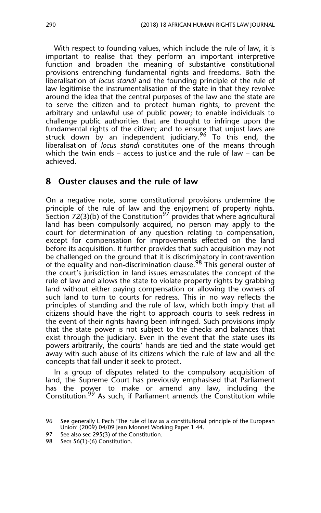With respect to founding values, which include the rule of law, it is important to realise that they perform an important interpretive function and broaden the meaning of substantive constitutional provisions entrenching fundamental rights and freedoms. Both the liberalisation of *locus standi* and the founding principle of the rule of law legitimise the instrumentalisation of the state in that they revolve around the idea that the central purposes of the law and the state are to serve the citizen and to protect human rights; to prevent the arbitrary and unlawful use of public power; to enable individuals to challenge public authorities that are thought to infringe upon the fundamental rights of the citizen; and to ensure that unjust laws are struck down by an independent judiciary.<sup>96</sup> To this end, the liberalisation of *locus standi* constitutes one of the means through which the twin ends – access to justice and the rule of law – can be achieved.

#### **8 Ouster clauses and the rule of law**

On a negative note, some constitutional provisions undermine the principle of the rule of law and the enjoyment of property rights. Section 72(3)(b) of the Constitution $^{97}$  provides that where agricultural land has been compulsorily acquired, no person may apply to the court for determination of any question relating to compensation, except for compensation for improvements effected on the land before its acquisition. It further provides that such acquisition may not be challenged on the ground that it is discriminatory in contravention of the equality and non-discrimination clause.<sup>98</sup> This general ouster of the court's jurisdiction in land issues emasculates the concept of the rule of law and allows the state to violate property rights by grabbing land without either paying compensation or allowing the owners of such land to turn to courts for redress. This in no way reflects the principles of standing and the rule of law, which both imply that all citizens should have the right to approach courts to seek redress in the event of their rights having been infringed. Such provisions imply that the state power is not subject to the checks and balances that exist through the judiciary. Even in the event that the state uses its powers arbitrarily, the courts' hands are tied and the state would get away with such abuse of its citizens which the rule of law and all the concepts that fall under it seek to protect.

In a group of disputes related to the compulsory acquisition of land, the Supreme Court has previously emphasised that Parliament has the power to make or amend any law, including the Constitution.<sup>99</sup> As such, if Parliament amends the Constitution while

<sup>96</sup> See generally L Pech 'The rule of law as a constitutional principle of the European Union' (2009) 04/09 Jean Monnet Working Paper 1 44.

<sup>97</sup> See also sec 295(3) of the Constitution.

<sup>98</sup> Secs 56(1)-(6) Constitution.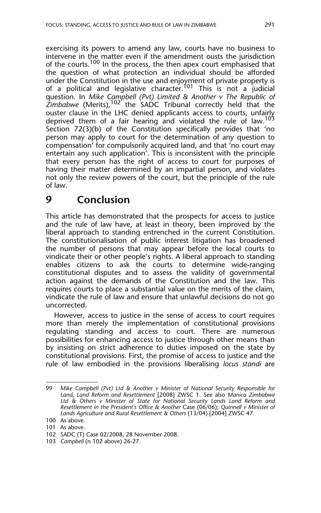exercising its powers to amend any law, courts have no business to intervene in the matter even if the amendment ousts the jurisdiction of the courts.<sup>100</sup> In the process, the then apex court emphasised that the question of what protection an individual should be afforded under the Constitution in the use and enjoyment of private property is of a political and legislative character.<sup>101</sup> This is not a judicial question. In *Mike Campbell (Pvt) Limited & Another v The Republic of* Zimbabwe (Merits),<sup>102'</sup> the SADC Tribunal correctly held that the ouster clause in the LHC denied applicants access to courts, unfairly deprived them of a fair hearing and violated the rule of law.<sup>103</sup> Section 72(3)(b) of the Constitution specifically provides that 'no person may apply to court for the determination of any question to compensation' for compulsorily acquired land, and that 'no court may entertain any such application'. This is inconsistent with the principle that every person has the right of access to court for purposes of having their matter determined by an impartial person, and violates not only the review powers of the court, but the principle of the rule of law.

## **9 Conclusion**

This article has demonstrated that the prospects for access to justice and the rule of law have, at least in theory, been improved by the liberal approach to standing entrenched in the current Constitution. The constitutionalisation of public interest litigation has broadened the number of persons that may appear before the local courts to vindicate their or other people's rights. A liberal approach to standing enables citizens to ask the courts to determine wide-ranging constitutional disputes and to assess the validity of governmental action against the demands of the Constitution and the law. This requires courts to place a substantial value on the merits of the claim, vindicate the rule of law and ensure that unlawful decisions do not go uncorrected.

However, access to justice in the sense of access to court requires more than merely the implementation of constitutional provisions regulating standing and access to court. There are numerous possibilities for enhancing access to justice through other means than by insisting on strict adherence to duties imposed on the state by constitutional provisions. First, the promise of access to justice and the rule of law embodied in the provisions liberalising *locus standi* are

<sup>99</sup> *Mike Campbell (Pvt) Ltd & Another v Minister of National Security Responsible for Land, Land Reform and Resettlement* [2008] ZWSC 1. See also *Manica Zimbabwe Ltd & Others v Minister of State for National Security Lands Land Reform and Resettlement in the President's Office & Another* Case (06/06); *Quinnell v Minister of Lands Agriculture and Rural Resettlement & Others* (13/04) [2004] ZWSC 47.

<sup>100</sup> As above.

<sup>101</sup> As above.

<sup>102</sup> SADC (T) Case 02/2008, 28 November 2008.

<sup>103</sup> *Campbell* (n 102 above) 26-27.